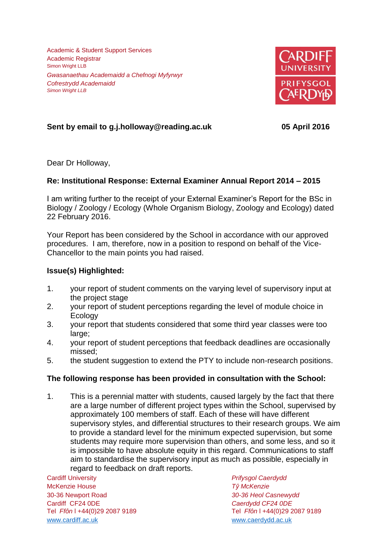Academic & Student Support Services Academic Registrar Simon Wright LLB *Gwasanaethau Academaidd a Chefnogi Myfyrwyr Cofrestrydd Academaidd Simon Wright LLB*



# **Sent by email to g.j.holloway@reading.ac.uk 05 April 2016**

Dear Dr Holloway,

### **Re: Institutional Response: External Examiner Annual Report 2014 – 2015**

I am writing further to the receipt of your External Examiner's Report for the BSc in Biology / Zoology / Ecology (Whole Organism Biology, Zoology and Ecology) dated 22 February 2016.

Your Report has been considered by the School in accordance with our approved procedures. I am, therefore, now in a position to respond on behalf of the Vice-Chancellor to the main points you had raised.

### **Issue(s) Highlighted:**

- 1. your report of student comments on the varying level of supervisory input at the project stage
- 2. your report of student perceptions regarding the level of module choice in **Ecology**
- 3. your report that students considered that some third year classes were too large;
- 4. your report of student perceptions that feedback deadlines are occasionally missed;
- 5. the student suggestion to extend the PTY to include non-research positions.

#### **The following response has been provided in consultation with the School:**

1. This is a perennial matter with students, caused largely by the fact that there are a large number of different project types within the School, supervised by approximately 100 members of staff. Each of these will have different supervisory styles, and differential structures to their research groups. We aim to provide a standard level for the minimum expected supervision, but some students may require more supervision than others, and some less, and so it is impossible to have absolute equity in this regard. Communications to staff aim to standardise the supervisory input as much as possible, especially in regard to feedback on draft reports.

Cardiff University *Prifysgol Caerdydd* McKenzie House *Tŷ McKenzie* 30-36 Newport Road *30-36 Heol Casnewydd* Cardiff CF24 0DE *Caerdydd CF24 0DE* [www.cardiff.ac.uk](http://www.cardiff.ac.uk/) www.cardiff.ac.uk

Tel *Ffôn* l +44(0)29 2087 9189 Tel *Ffôn* l +44(0)29 2087 9189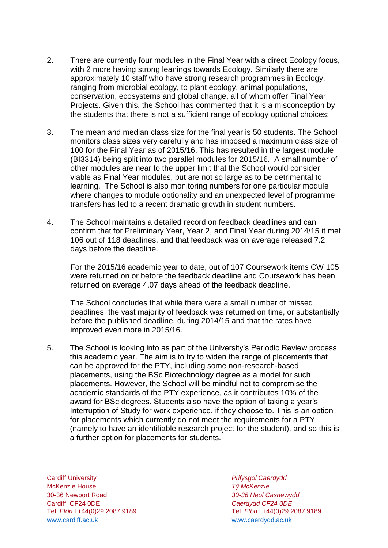- 2. There are currently four modules in the Final Year with a direct Ecology focus, with 2 more having strong leanings towards Ecology. Similarly there are approximately 10 staff who have strong research programmes in Ecology, ranging from microbial ecology, to plant ecology, animal populations, conservation, ecosystems and global change, all of whom offer Final Year Projects. Given this, the School has commented that it is a misconception by the students that there is not a sufficient range of ecology optional choices;
- 3. The mean and median class size for the final year is 50 students. The School monitors class sizes very carefully and has imposed a maximum class size of 100 for the Final Year as of 2015/16. This has resulted in the largest module (BI3314) being split into two parallel modules for 2015/16. A small number of other modules are near to the upper limit that the School would consider viable as Final Year modules, but are not so large as to be detrimental to learning. The School is also monitoring numbers for one particular module where changes to module optionality and an unexpected level of programme transfers has led to a recent dramatic growth in student numbers.
- 4. The School maintains a detailed record on feedback deadlines and can confirm that for Preliminary Year, Year 2, and Final Year during 2014/15 it met 106 out of 118 deadlines, and that feedback was on average released 7.2 days before the deadline.

For the 2015/16 academic year to date, out of 107 Coursework items CW 105 were returned on or before the feedback deadline and Coursework has been returned on average 4.07 days ahead of the feedback deadline.

The School concludes that while there were a small number of missed deadlines, the vast majority of feedback was returned on time, or substantially before the published deadline, during 2014/15 and that the rates have improved even more in 2015/16.

5. The School is looking into as part of the University's Periodic Review process this academic year. The aim is to try to widen the range of placements that can be approved for the PTY, including some non-research-based placements, using the BSc Biotechnology degree as a model for such placements. However, the School will be mindful not to compromise the academic standards of the PTY experience, as it contributes 10% of the award for BSc degrees. Students also have the option of taking a year's Interruption of Study for work experience, if they choose to. This is an option for placements which currently do not meet the requirements for a PTY (namely to have an identifiable research project for the student), and so this is a further option for placements for students.

Cardiff University *Prifysgol Caerdydd* McKenzie House *Tŷ McKenzie* 30-36 Newport Road *30-36 Heol Casnewydd* Tel *Ffôn* l +44(0)29 2087 9189 Tel *Ffôn* l +44(0)29 2087 9189 [www.cardiff.ac.uk](http://www.cardiff.ac.uk/) www.cardiff.ac.uk

Cardiff CF24 0DE *Caerdydd CF24 0DE*